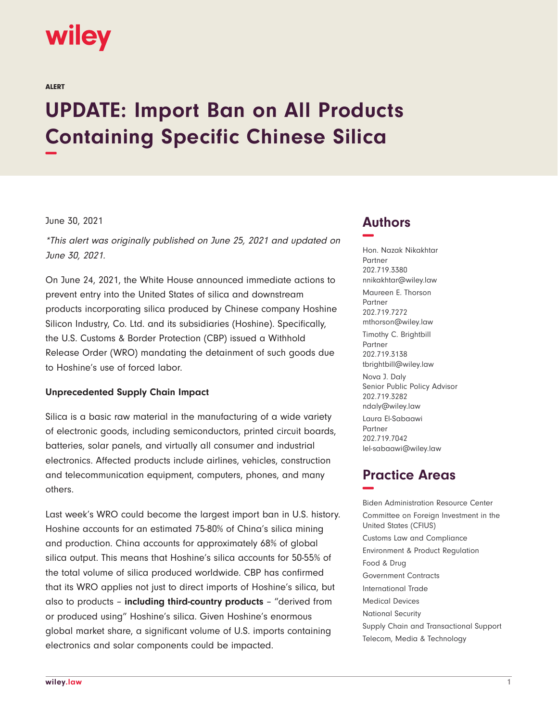# **wiley**

ALERT

# **UPDATE: Import Ban on All Products Containing Specific Chinese Silica −**

#### June 30, 2021

\*This alert was originally published on June 25, 2021 and updated on June 30, 2021.

On June 24, 2021, the White House announced immediate actions to prevent entry into the United States of silica and downstream products incorporating silica produced by Chinese company Hoshine Silicon Industry, Co. Ltd. and its subsidiaries (Hoshine). Specifically, the U.S. Customs & Border Protection (CBP) issued a Withhold Release Order (WRO) mandating the detainment of such goods due to Hoshine's use of forced labor.

#### **Unprecedented Supply Chain Impact**

Silica is a basic raw material in the manufacturing of a wide variety of electronic goods, including semiconductors, printed circuit boards, batteries, solar panels, and virtually all consumer and industrial electronics. Affected products include airlines, vehicles, construction and telecommunication equipment, computers, phones, and many others.

Last week's WRO could become the largest import ban in U.S. history. Hoshine accounts for an estimated 75-80% of China's silica mining and production. China accounts for approximately 68% of global silica output. This means that Hoshine's silica accounts for 50-55% of the total volume of silica produced worldwide. CBP has confirmed that its WRO applies not just to direct imports of Hoshine's silica, but also to products – **including third-country products** – "derived from or produced using" Hoshine's silica. Given Hoshine's enormous global market share, a significant volume of U.S. imports containing electronics and solar components could be impacted.

### **Authors −**

Hon. Nazak Nikakhtar Partner 202.719.3380 nnikakhtar@wiley.law Maureen E. Thorson Partner 202.719.7272 mthorson@wiley.law Timothy C. Brightbill Partner 202.719.3138 tbrightbill@wiley.law Nova J. Daly Senior Public Policy Advisor 202.719.3282 ndaly@wiley.law Laura El-Sabaawi Partner 202.719.7042 lel-sabaawi@wiley.law

## **Practice Areas −**

Biden Administration Resource Center Committee on Foreign Investment in the United States (CFIUS) Customs Law and Compliance Environment & Product Regulation Food & Drug Government Contracts International Trade Medical Devices National Security Supply Chain and Transactional Support Telecom, Media & Technology